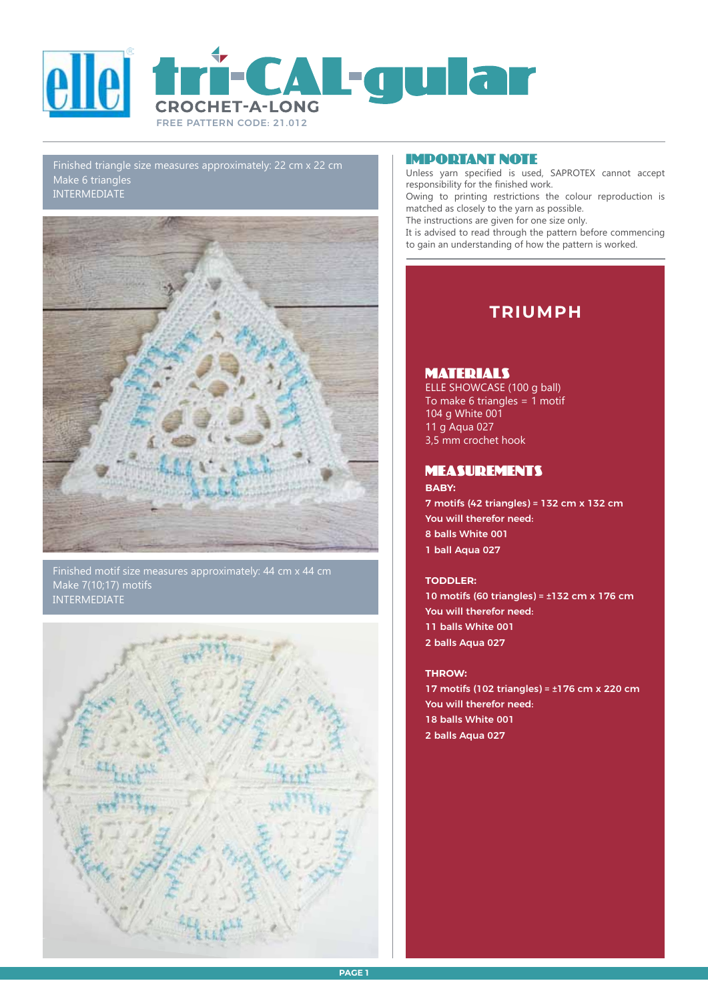

Finished triangle size measures approximately: 22 cm x 22 cm Make 6 triangles INTERMEDIATE



Finished motif size measures approximately: 44 cm x 44 cm Make 7(10;17) motifs INTERMEDIATE



## Important Note

Unless yarn specified is used, SAPROTEX cannot accept responsibility for the finished work.

Owing to printing restrictions the colour reproduction is matched as closely to the yarn as possible.

The instructions are given for one size only.

It is advised to read through the pattern before commencing to gain an understanding of how the pattern is worked.

# **TRIUMPH**

## **MATERIALS**

ELLE SHOWCASE (100 g ball) To make 6 triangles =  $\overline{1}$  motif 104 g White 001 11 g Aqua 027 3,5 mm crochet hook

## measurements

## **BABY:**

7 motifs (42 triangles) = 132 cm x 132 cm You will therefor need: 8 balls White 001 1 ball Aqua 027

## **TODDLER:**

10 motifs (60 triangles) = ±132 cm x 176 cm You will therefor need: 11 balls White 001 2 balls Aqua 027

## **THROW:**

17 motifs (102 triangles) = ±176 cm x 220 cm You will therefor need: 18 balls White 001 2 balls Aqua 027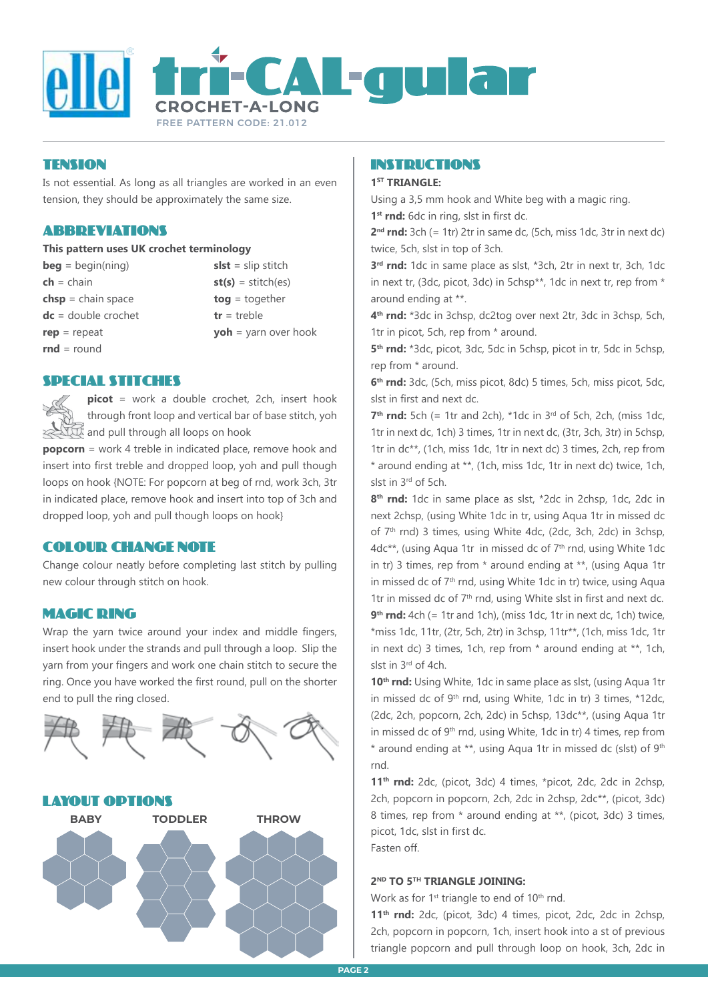

## Tension

Is not essential. As long as all triangles are worked in an even tension, they should be approximately the same size.

## Abbreviations

#### **This pattern uses UK crochet terminology**

**beg** = begin(ning) **slst** = slip stitch  $ch = chain$  **st(s)** = stitch(es) **chsp** = chain space **tog** = together **dc** = double crochet **tr** = treble **rnd** = round

**rep** = repeat **yoh** = yarn over hook

### SPECIAL STITCHES

**picot** = work a double crochet, 2ch, insert hook through front loop and vertical bar of base stitch, yoh  $\mathbb{R}$  and pull through all loops on hook

**popcorn** = work 4 treble in indicated place, remove hook and insert into first treble and dropped loop, yoh and pull though loops on hook {NOTE: For popcorn at beg of rnd, work 3ch, 3tr in indicated place, remove hook and insert into top of 3ch and dropped loop, yoh and pull though loops on hook}

## colour change note

Change colour neatly before completing last stitch by pulling new colour through stitch on hook.

## MAGIC RING

Wrap the yarn twice around your index and middle fingers, insert hook under the strands and pull through a loop. Slip the yarn from your fingers and work one chain stitch to secure the ring. Once you have worked the first round, pull on the shorter end to pull the ring closed.



## INSTRUCTIONS

#### **1ST TRIANGLE:**

Using a 3,5 mm hook and White beg with a magic ring. **1st rnd:** 6dc in ring, slst in first dc.

**2nd rnd:** 3ch (= 1tr) 2tr in same dc, (5ch, miss 1dc, 3tr in next dc) twice, 5ch, slst in top of 3ch.

**3rd rnd:** 1dc in same place as slst, \*3ch, 2tr in next tr, 3ch, 1dc in next tr, (3dc, picot, 3dc) in 5chsp\*\*, 1dc in next tr, rep from \* around ending at \*\*.

**4th rnd:** \*3dc in 3chsp, dc2tog over next 2tr, 3dc in 3chsp, 5ch, 1tr in picot, 5ch, rep from \* around.

**5th rnd:** \*3dc, picot, 3dc, 5dc in 5chsp, picot in tr, 5dc in 5chsp, rep from \* around.

**6th rnd:** 3dc, (5ch, miss picot, 8dc) 5 times, 5ch, miss picot, 5dc, slst in first and next dc.

**7th rnd:** 5ch (= 1tr and 2ch), \*1dc in 3rd of 5ch, 2ch, (miss 1dc, 1tr in next dc, 1ch) 3 times, 1tr in next dc, (3tr, 3ch, 3tr) in 5chsp, 1tr in dc\*\*, (1ch, miss 1dc, 1tr in next dc) 3 times, 2ch, rep from \* around ending at \*\*, (1ch, miss 1dc, 1tr in next dc) twice, 1ch, slst in 3rd of 5ch.

**8th rnd:** 1dc in same place as slst, \*2dc in 2chsp, 1dc, 2dc in next 2chsp, (using White 1dc in tr, using Aqua 1tr in missed dc of 7<sup>th</sup> rnd) 3 times, using White 4dc, (2dc, 3ch, 2dc) in 3chsp, 4dc\*\*, (using Aqua 1tr in missed dc of 7<sup>th</sup> rnd, using White 1dc in tr) 3 times, rep from \* around ending at \*\*, (using Aqua 1tr in missed dc of 7th rnd, using White 1dc in tr) twice, using Aqua 1tr in missed dc of 7<sup>th</sup> rnd, using White slst in first and next dc. **9th rnd:** 4ch (= 1tr and 1ch), (miss 1dc, 1tr in next dc, 1ch) twice, \*miss 1dc, 11tr, (2tr, 5ch, 2tr) in 3chsp, 11tr\*\*, (1ch, miss 1dc, 1tr in next dc) 3 times, 1ch, rep from \* around ending at \*\*, 1ch, slst in 3rd of 4ch.

10<sup>th</sup> rnd: Using White, 1dc in same place as slst, (using Aqua 1tr in missed dc of 9th rnd, using White, 1dc in tr) 3 times, \*12dc, (2dc, 2ch, popcorn, 2ch, 2dc) in 5chsp, 13dc\*\*, (using Aqua 1tr in missed dc of 9<sup>th</sup> rnd, using White, 1dc in tr) 4 times, rep from \* around ending at \*\*, using Aqua 1tr in missed dc (slst) of 9th rnd.

**11th rnd:** 2dc, (picot, 3dc) 4 times, \*picot, 2dc, 2dc in 2chsp, 2ch, popcorn in popcorn, 2ch, 2dc in 2chsp, 2dc\*\*, (picot, 3dc) 8 times, rep from \* around ending at \*\*, (picot, 3dc) 3 times, picot, 1dc, slst in first dc. Fasten off.

**2ND TO 5TH TRIANGLE JOINING:**

Work as for 1<sup>st</sup> triangle to end of 10<sup>th</sup> rnd.

**11th rnd:** 2dc, (picot, 3dc) 4 times, picot, 2dc, 2dc in 2chsp, 2ch, popcorn in popcorn, 1ch, insert hook into a st of previous triangle popcorn and pull through loop on hook, 3ch, 2dc in